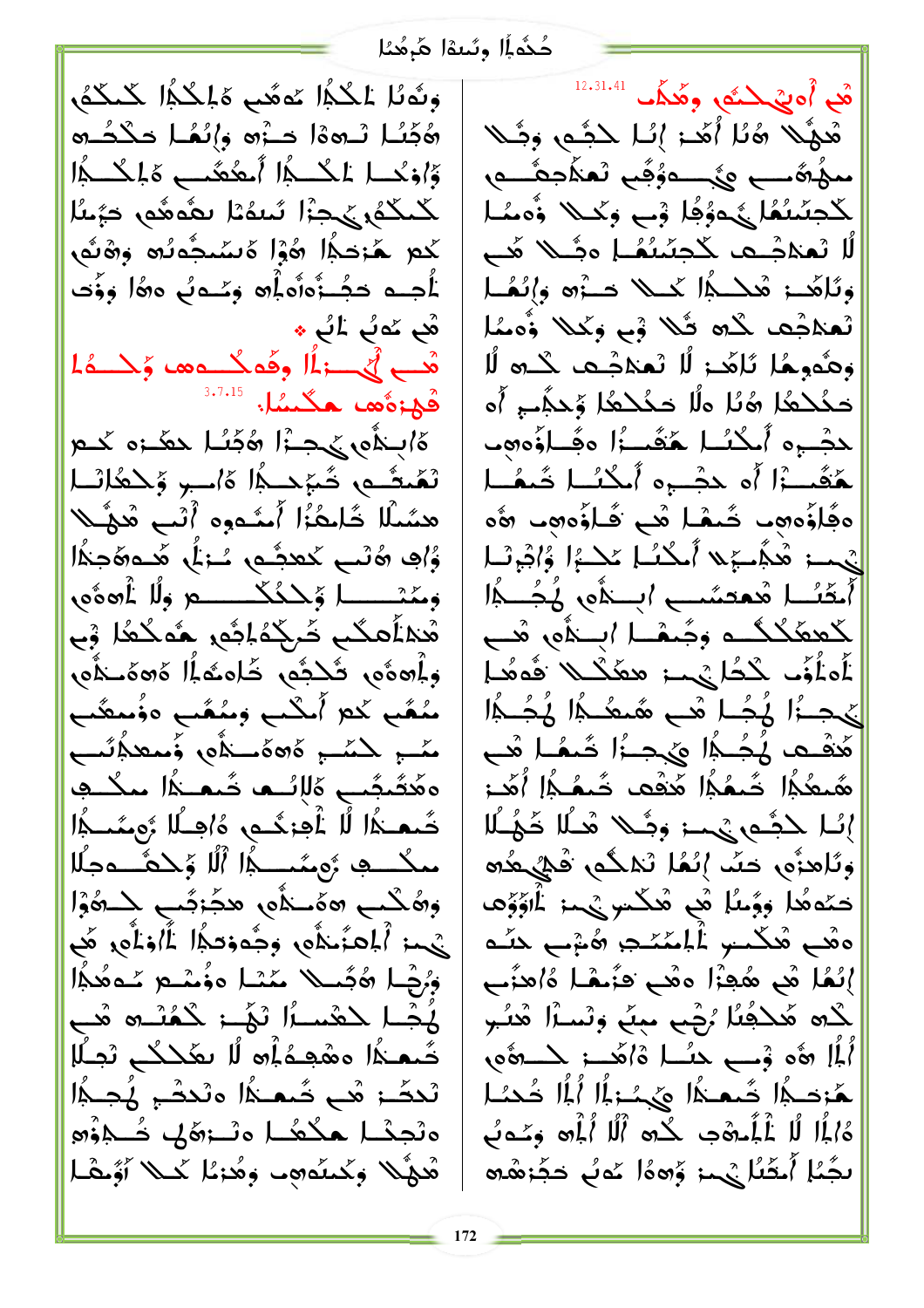حُذُه إِلَّا وِنَسِهْلِ هُرِهُنا ا

وِنَهْلًا لَمُكْلًا مُهَمَّى هَلِكْلًا كَمْكَهُ، هُجُنُـا نَـههْا حَـزُه وإنُعُـا حَكْحُـه وَّاذِكُمَا مَاكُمْاً أُمِعُعَّمَے هَٰلِكُمْاً لْمَكِّمْ رِمَةُمشَا لَدُمْنَا لَجَرِزَ رِمْكَكُمْ كُمْ هُرْجَةُ الْمُوْٓا وَيَسْجُونُه وَهُنَّو ـَٰٰٓاُجـــه حَجُّــۃُّہ۞هُ﴾ وَصَّــه﴾ ه%ا وَوَّٰت هُم عُوبُ لِمُنْ ﴾ ثب أي: أا وهُمكْــــمها وُكْــــهُ!  $^{3.7.15}$ . فَهْزەُها هَــُمْمَال هك منكَّف الْمَجْمَّ الْمَجْرِدُ رِهِلْكِ الْأَ تَمَّتُــمِ شَہِّــــدًا ةَاـــبِ وَّــٰحُدَّلَــا هسُمْلًا شُاهُمُوْا أَمسُووه أَنْبِ هُوَيْ وُّافِ هُنَّے کُعجُّے مُنْہُ هُــوهُجَدًا هُذاأُهكُم خَرِجُهُ!هُم حَدَيْدًا وْمِ وأضمضه المشاملة وشكث وهوابع مُمَمَّع كَمْ أَمِكْسٍ وَمُمَّسٍ وَوُمِعَكَسٍ مَكْمِ لِكَمْسِمِ هُ٥٥مْكِلُمْ) وَمعكِلُمْكِ ەھَتَىبَّىب ەَللِّى شَىمْتَمَا مىڭىپ خَمعِيْهَا لَمْ يَأْجِزِيْهِمِ وَاهِهُمْ أَمْهِيمَهِ وَهُكُبِ هَمَـٰذُهِ هجَزَجُبِ كِـهُوْا يُهِمز ٱلْمِعْ مَنْ أَمْرَ مَهْدَهُ السَّالِمُ الْمَرْشَى وَالْمَعْلَمَةِ وَالْمَسَ وُرِجْها ۞جُىــلا مَمْـْـا هوُمْــع مُــهِ مُلْهَا لُجِّا لِحَقْساً لَهُــ: كَعُنْـهِ مْبِ ضَعِـٰدًا مِشْهِـٰهُ بِلَه لَا تِعَجِّكُـٰـِ نُصِلًا لْكَتُــٰ; هُــِ شَــْعَـٰدُا هلْكشّــرٍ هُٰجـــدًا ەنْجِنْسا ھڭھُسا ەنْسىزەْكى خُسىرْزُرە هُدْيٌمٌ وَكَسَفُوهِ وَهُوَمًا كَسَلاً أَوَّسْقَالَ

هْمِ أُونَ كَمُهْمٍ وَهُكُمُ " هُوْلًا هُنَا أُهُمْ إِنَـا لِكِثِّمِ وِجُـلا رمے مُکَّبِّ مِنْکُمِ لَمِنْکُمِ مِنْ الْمُحَکَّبِ مِنْ لَحْجِسُفُعُلِّيَّةَ وَفَعِينَ وَكَحِلاً ۖ وَّوَمِمُكُمْ لًا تَعْدَيْــبِ كَجِئْبِنُعُــا وَجَـْـلا هُــع وَتَلَقَّع: هَكِجًا حَمَلاً دَخْرَه وَإِنْعُمَا لْعَلاجُهَا لَدُو قُلا وْمِ وَكُلا وْهِمْا وهُدوهُا نُاهُد; لُا نْعِيْاجْـِهِبِ كَلِيهِ لُل حَكُكْمًا هُنًا هِلًا حَكُكْمًا وَّحَكِّبٍ أَه حجْبِو أَمكْسًا هَٰقُسَۃُا وَقُاؤُووں هَٰقُـــٰٓ;ا أَه حجْــبِه أَحكـُــا خُـهُــا وَقَاؤُوهِمَا شُهْلَ هُمْ قُبَاؤُوهِمَا هُو يْ مِنْ هُجُنِيَ لَا تُكْتُ لَا حَكِيرًا وَاجْرِتْنَا أَمْخَلُــا هُـمَتَسَبِ ابْــَدْهِ لُكُــُــاً كَعِكْلَاء وِجُمْهَا ابْنَاهِ شَبِ لْمَأْوَى كَتْحًا يْهِبْ مِعْكَبٍ ۚ فَوَهُمْ الْمِحِـذُا لَمُحُـا هُـــ هُمعُــدًا لَمُحُــدًا هَفْـم لِهُمْـمُ الْجَهْرَ وَالْجَـمُّـا هُـم هَمعُكُما شَمْكُل مِّثْقُف شَمُـكُل أُمَّــز إِنَّا لَحَجُّمٍ يُهْدِرُ مِثْكُمْ النَّإِ وِتَاهِدْمِ حَتَّ إِنَّهَا نَبْلَكُمْ فَجْيَهُمْ حَمَّه هُا ۖ وَوَّمِنًا ۚ هُم ۖ هُكُسَ يُهِمَ ۖ ـٰأَاوَّوِّهِـ ەقى قىڭىس أالمئىجە ھۇپ ھىّـە إِنَّهَا مِّي هُجَّزَا وَهْي حَزَّمَهَا وَأَهْتَبِ لْكُلُّهِ هَٰكُلُّهُمْ رُجِّي مِنِّي وَنُسَأَلِ هُنُبِر أَلَمِ! 50 وْبِ حِبِّ ذَاهَدٍ: حَسَنُوهِ لِ لَحْمَدُ الْمَالِّينَ مِنْ الْهَنْ الْمُحَمَّالِ مَنْ الْمُحَمَّالِ هُالِمَّا لَمْ لَمْلَمِشْهِ حَدَّهِ ٱلْمَالُمَ أَبْلُهُ وَسِّمَٰت مَّمَّا أَمْثَلُّ يُسْرَّ لِمُتَافِّهِ مِنْ الْمَثَّلِ الْمُجَّا